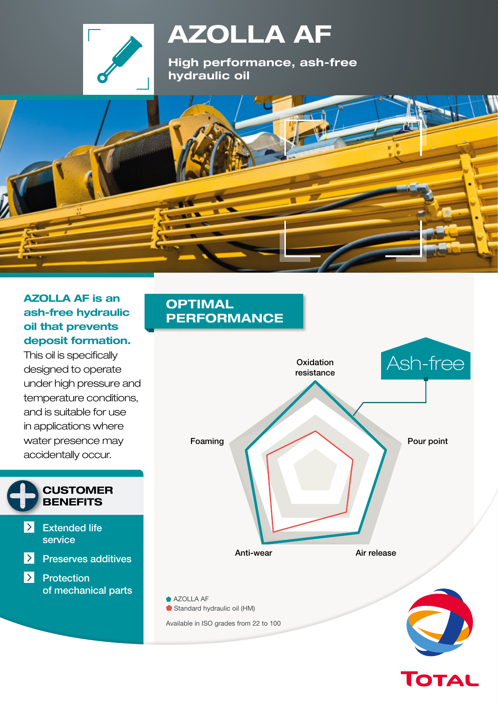

# **AZOLLA AF**

**High performance, ash-free hydraulic oil**

### **AZOLLA AF is an ash-free hydraulic oil that prevents deposit formation.**

This oil is specifically designed to operate under high pressure and temperature conditions, and is suitable for use in applications where water presence may accidentally occur.



### **OPTIMAL PERFORMANCE**